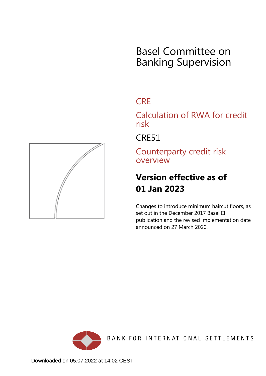# Basel Committee on Banking Supervision

## **CRE**

Calculation of RWA for credit risk

CRE51

Counterparty credit risk overview

## **Version effective as of 01 Jan 2023**

Changes to introduce minimum haircut floors, as set out in the December 2017 Basel III publication and the revised implementation date announced on 27 March 2020.



<span id="page-0-0"></span>

Downloaded on 05.07.2022 at 14:02 CEST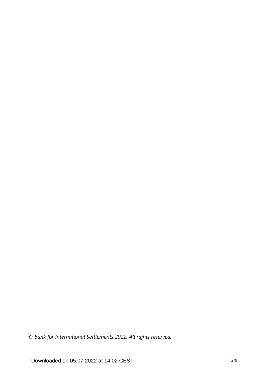*© Bank for International Settlements 2022. All rights reserved.*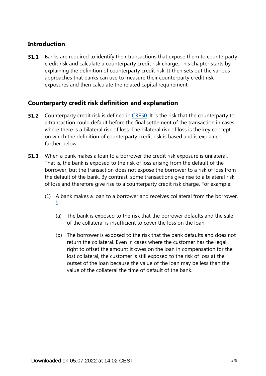### **Introduction**

Banks are required to identify their transactions that expose them to counterparty credit risk and calculate a counterparty credit risk charge. This chapter starts by explaining the definition of counterparty credit risk. It then sets out the various approaches that banks can use to measure their counterparty credit risk exposures and then calculate the related capital requirement. **51.1**

### **Counterparty credit risk definition and explanation**

- **51.2** Counterparty credit risk is defined in [CRE50.](https://www.bis.org/basel_framework/chapter/CRE/50.htm?inforce=20191215&published=20191215) It is the risk that the counterparty to a transaction could default before the final settlement of the transaction in cases where there is a bilateral risk of loss. The bilateral risk of loss is the key concept on which the definition of counterparty credit risk is based and is explained further below.
- When a bank makes a loan to a borrower the credit risk exposure is unilateral. That is, the bank is exposed to the risk of loss arising from the default of the borrower, but the transaction does not expose the borrower to a risk of loss from the default of the bank. By contrast, some transactions give rise to a bilateral risk of loss and therefore give rise to a counterparty credit risk charge. For example: **51.3**
	- (1) A bank makes a loan to a borrower and receives collateral from the borrower. [1](#page-4-0)
		- (a) The bank is exposed to the risk that the borrower defaults and the sale of the collateral is insufficient to cover the loss on the loan.
		- (b) The borrower is exposed to the risk that the bank defaults and does not return the collateral. Even in cases where the customer has the legal right to offset the amount it owes on the loan in compensation for the lost collateral, the customer is still exposed to the risk of loss at the outset of the loan because the value of the loan may be less than the value of the collateral the time of default of the bank.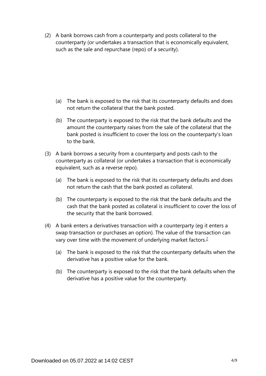(2) A bank borrows cash from a counterparty and posts collateral to the counterparty (or undertakes a transaction that is economically equivalent, such as the sale and repurchase (repo) of a security).

- (a) The bank is exposed to the risk that its counterparty defaults and does not return the collateral that the bank posted.
- (b) The counterparty is exposed to the risk that the bank defaults and the amount the counterparty raises from the sale of the collateral that the bank posted is insufficient to cover the loss on the counterparty's loan to the bank.
- (3) A bank borrows a security from a counterparty and posts cash to the counterparty as collateral (or undertakes a transaction that is economically equivalent, such as a reverse repo).
	- (a) The bank is exposed to the risk that its counterparty defaults and does not return the cash that the bank posted as collateral.
	- (b) The counterparty is exposed to the risk that the bank defaults and the cash that the bank posted as collateral is insufficient to cover the loss of the security that the bank borrowed.
- <span id="page-3-0"></span>(4) A bank enters a derivatives transaction with a counterparty (eg it enters a swap transaction or purchases an option). The value of the transaction can vary over time with the movement of underlying market factors.<sup>[2](#page-4-1)</sup>
	- (a) The bank is exposed to the risk that the counterparty defaults when the derivative has a positive value for the bank.
	- (b) The counterparty is exposed to the risk that the bank defaults when the derivative has a positive value for the counterparty.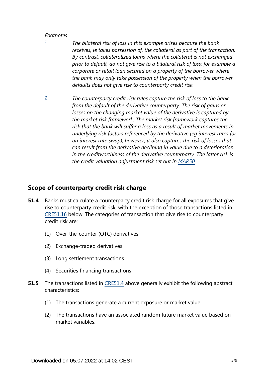#### *Footnotes*

- <span id="page-4-0"></span>*The bilateral risk of loss in this example arises because the bank receives, ie takes possession of, the collateral as part of the transaction. By contrast, collateralized loans where the collateral is not exchanged prior to default, do not give rise to a bilateral risk of loss; for example a corporate or retail loan secured on a property of the borrower where the bank may only take possession of the property when the borrower defaults does not give rise to counterparty credit risk. [1](#page-0-0)*
- <span id="page-4-1"></span>*The counterparty credit risk rules capture the risk of loss to the bank from the default of the derivative counterparty. The risk of gains or losses on the changing market value of the derivative is captured by the market risk framework. The market risk framework captures the risk that the bank will suffer a loss as a result of market movements in underlying risk factors referenced by the derivative (eg interest rates for an interest rate swap); however, it also captures the risk of losses that can result from the derivative declining in value due to a deterioration in the creditworthiness of the derivative counterparty. The latter risk is the credit valuation adjustment risk set out in [MAR50](https://www.bis.org/basel_framework/chapter/MAR/50.htm?inforce=20230101&published=20200708). [2](#page-3-0)*

#### **Scope of counterparty credit risk charge**

- Banks must calculate a counterparty credit risk charge for all exposures that give rise to counterparty credit risk, with the exception of those transactions listed in [CRE51.16](https://www.bis.org/basel_framework/chapter/CRE/51.htm?inforce=20230101&published=20200327#paragraph_CRE_51_20230101_51_16) below. The categories of transaction that give rise to counterparty credit risk are: **51.4**
	- (1) Over-the-counter (OTC) derivatives
	- (2) Exchange-traded derivatives
	- (3) Long settlement transactions
	- (4) Securities financing transactions
- The transactions listed in [CRE51.4](https://www.bis.org/basel_framework/chapter/CRE/51.htm?inforce=20230101&published=20200327#paragraph_CRE_51_20230101_51_4) above generally exhibit the following abstract characteristics: **51.5**
	- (1) The transactions generate a current exposure or market value.
	- (2) The transactions have an associated random future market value based on market variables.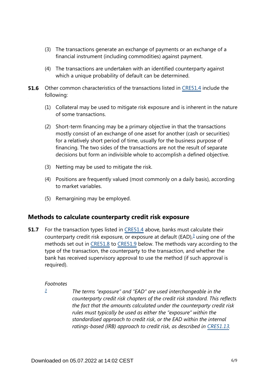- (3) The transactions generate an exchange of payments or an exchange of a financial instrument (including commodities) against payment.
- (4) The transactions are undertaken with an identified counterparty against which a unique probability of default can be determined.
- **51.6** Other common characteristics of the transactions listed in [CRE51.4](https://www.bis.org/basel_framework/chapter/CRE/51.htm?inforce=20230101&published=20200327#paragraph_CRE_51_20230101_51_4) include the following:
	- (1) Collateral may be used to mitigate risk exposure and is inherent in the nature of some transactions.
	- (2) Short-term financing may be a primary objective in that the transactions mostly consist of an exchange of one asset for another (cash or securities) for a relatively short period of time, usually for the business purpose of financing. The two sides of the transactions are not the result of separate decisions but form an indivisible whole to accomplish a defined objective.
	- (3) Netting may be used to mitigate the risk.
	- (4) Positions are frequently valued (most commonly on a daily basis), according to market variables.
	- (5) Remargining may be employed.

#### **Methods to calculate counterparty credit risk exposure**

<span id="page-5-1"></span>For the transaction types listed in [CRE51.4](https://www.bis.org/basel_framework/chapter/CRE/51.htm?inforce=20230101&published=20200327#paragraph_CRE_51_20230101_51_4) above, banks must calculate their counterparty credit risk exposure, or exposure at default (EAD), $3$  using one of the methods set out in [CRE51.8](https://www.bis.org/basel_framework/chapter/CRE/51.htm?inforce=20230101&published=20200327#paragraph_CRE_51_20230101_51_8) to [CRE51.9](https://www.bis.org/basel_framework/chapter/CRE/51.htm?inforce=20230101&published=20200327#paragraph_CRE_51_20230101_51_9) below. The methods vary according to the type of the transaction, the counterparty to the transaction, and whether the bank has received supervisory approval to use the method (if such approval is required). **51.7**

#### *Footnotes*

<span id="page-5-0"></span>*[3](#page-5-1)*

*The terms "exposure" and "EAD" are used interchangeable in the counterparty credit risk chapters of the credit risk standard. This reflects the fact that the amounts calculated under the counterparty credit risk rules must typically be used as either the "exposure" within the standardised approach to credit risk, or the EAD within the internal*  ratings-based (IRB) approach to credit risk, as described in [CRE51.13](https://www.bis.org/basel_framework/chapter/CRE/51.htm?inforce=20230101&published=20200327#paragraph_CRE_51_20230101_51_13).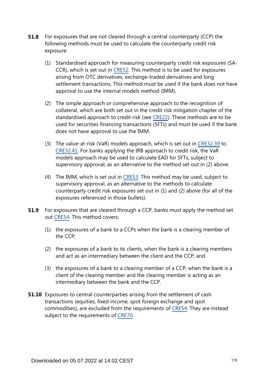- For exposures that are not cleared through a central counterparty (CCP) the following methods must be used to calculate the counterparty credit risk exposure: **51.8**
	- (1) Standardised approach for measuring counterparty credit risk exposures (SA-CCR), which is set out in [CRE52.](https://www.bis.org/basel_framework/chapter/CRE/52.htm?inforce=20230101&published=20200605) This method is to be used for exposures arising from OTC derivatives, exchange-traded derivatives and long settlement transactions. This method must be used if the bank does not have approval to use the internal models method (IMM).
	- (2) The simple approach or comprehensive approach to the recognition of collateral, which are both set out in the credit risk mitigation chapter of the standardised approach to credit risk (see [CRE22\)](https://www.bis.org/basel_framework/chapter/CRE/22.htm?inforce=20230101&published=20201126). These methods are to be used for securities financing transactions (SFTs) and must be used if the bank does not have approval to use the IMM.
	- (3) The value-at-risk (VaR) models approach, which is set out in [CRE32.39](https://www.bis.org/basel_framework/chapter/CRE/32.htm?inforce=20230101&published=20200327#paragraph_CRE_32_20230101_32_39) to [CRE32.41.](https://www.bis.org/basel_framework/chapter/CRE/32.htm?inforce=20230101&published=20200327#paragraph_CRE_32_20230101_32_41) For banks applying the IRB approach to credit risk, the VaR models approach may be used to calculate EAD for SFTs, subject to supervisory approval, as an alternative to the method set out in (2) above.
	- (4) The IMM, which is set out in [CRE53](https://www.bis.org/basel_framework/chapter/CRE/53.htm?inforce=20230101&published=20200605). This method may be used, subject to supervisory approval, as an alternative to the methods to calculate counterparty credit risk exposures set out in (1) and (2) above (for all of the exposures referenced in those bullets).
- For exposures that are cleared through a CCP, banks must apply the method set out [CRE54.](https://www.bis.org/basel_framework/chapter/CRE/54.htm?inforce=20230101&published=20200327) This method covers: **51.9**
	- (1) the exposures of a bank to a CCPs when the bank is a clearing member of the CCP;
	- (2) the exposures of a bank to its clients, when the bank is a clearing members and act as an intermediary between the client and the CCP; and
	- (3) the exposures of a bank to a clearing member of a CCP, when the bank is a client of the clearing member and the clearing member is acting as an intermediary between the bank and the CCP.
- **51.10** Exposures to central counterparties arising from the settlement of cash transactions (equities, fixed income, spot foreign exchange and spot commodities), are excluded from the requirements of [CRE54.](https://www.bis.org/basel_framework/chapter/CRE/54.htm?inforce=20230101&published=20200327) They are instead subject to the requirements of [CRE70.](https://www.bis.org/basel_framework/chapter/CRE/70.htm?inforce=20191215&published=20191215)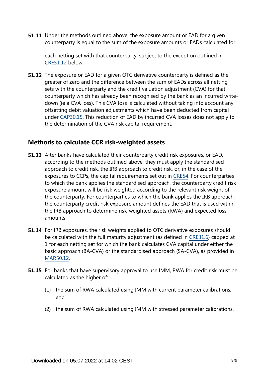**51.11** Under the methods outlined above, the exposure amount or EAD for a given counterparty is equal to the sum of the exposure amounts or EADs calculated for

each netting set with that counterparty, subject to the exception outlined in [CRE51.12](https://www.bis.org/basel_framework/chapter/CRE/51.htm?inforce=20230101&published=20200327#paragraph_CRE_51_20230101_51_12) below.

**51.12** The exposure or EAD for a given OTC derivative counterparty is defined as the greater of zero and the difference between the sum of EADs across all netting sets with the counterparty and the credit valuation adjustment (CVA) for that counterparty which has already been recognised by the bank as an incurred writedown (ie a CVA loss). This CVA loss is calculated without taking into account any offsetting debit valuation adjustments which have been deducted from capital under [CAP30.15.](https://www.bis.org/basel_framework/chapter/CAP/30.htm?inforce=20191215&published=20191215#paragraph_CAP_30_20191215_30_15) This reduction of EAD by incurred CVA losses does not apply to the determination of the CVA risk capital requirement.

#### **Methods to calculate CCR risk-weighted assets**

- **51.13** After banks have calculated their counterparty credit risk exposures, or EAD, according to the methods outlined above, they must apply the standardised approach to credit risk, the IRB approach to credit risk, or, in the case of the exposures to CCPs, the capital requirements set out in [CRE54.](https://www.bis.org/basel_framework/chapter/CRE/54.htm?inforce=20230101&published=20200327) For counterparties to which the bank applies the standardised approach, the counterparty credit risk exposure amount will be risk weighted according to the relevant risk weight of the counterparty. For counterparties to which the bank applies the IRB approach, the counterparty credit risk exposure amount defines the EAD that is used within the IRB approach to determine risk-weighted assets (RWA) and expected loss amounts.
- **51.14** For IRB exposures, the risk weights applied to OTC derivative exposures should be calculated with the full maturity adjustment (as defined in [CRE31.6](https://www.bis.org/basel_framework/chapter/CRE/31.htm?inforce=20230101&published=20200327#paragraph_CRE_31_20230101_31_6)) capped at 1 for each netting set for which the bank calculates CVA capital under either the basic approach (BA-CVA) or the standardised approach (SA-CVA), as provided in [MAR50.12](https://www.bis.org/basel_framework/chapter/MAR/50.htm?inforce=20230101&published=20200708#paragraph_MAR_50_20230101_50_12).
- **51.15** For banks that have supervisory approval to use IMM, RWA for credit risk must be calculated as the higher of:
	- (1) the sum of RWA calculated using IMM with current parameter calibrations; and
	- (2) the sum of RWA calculated using IMM with stressed parameter calibrations.